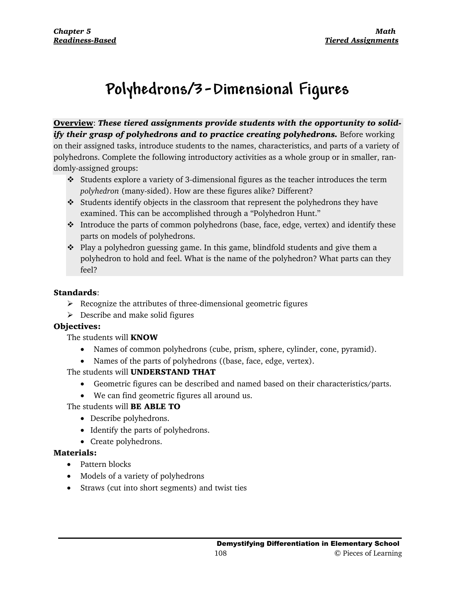# **Polyhedrons/3-Dimensional Figures**

**Overview**: *These tiered assignments provide students with the opportunity to solidify their grasp of polyhedrons and to practice creating polyhedrons.* Before working on their assigned tasks, introduce students to the names, characteristics, and parts of a variety of polyhedrons. Complete the following introductory activities as a whole group or in smaller, randomly-assigned groups:

- Students explore a variety of 3-dimensional figures as the teacher introduces the term *polyhedron* (many-sided). How are these figures alike? Different?
- $\div$  Students identify objects in the classroom that represent the polyhedrons they have examined. This can be accomplished through a "Polyhedron Hunt."
- $\cdot \cdot$  Introduce the parts of common polyhedrons (base, face, edge, vertex) and identify these parts on models of polyhedrons.
- \* Play a polyhedron guessing game. In this game, blindfold students and give them a polyhedron to hold and feel. What is the name of the polyhedron? What parts can they feel?

# **Standards**:

- $\triangleright$  Recognize the attributes of three-dimensional geometric figures
- $\triangleright$  Describe and make solid figures

# **Objectives:**

The students will **KNOW**

- Names of common polyhedrons (cube, prism, sphere, cylinder, cone, pyramid).
- Names of the parts of polyhedrons ((base, face, edge, vertex).

# The students will **UNDERSTAND THAT**

- Geometric figures can be described and named based on their characteristics/parts.
- We can find geometric figures all around us.

The students will **BE ABLE TO**

- Describe polyhedrons.
- Identify the parts of polyhedrons.
- Create polyhedrons.

# **Materials:**

- Pattern blocks
- Models of a variety of polyhedrons
- Straws (cut into short segments) and twist ties